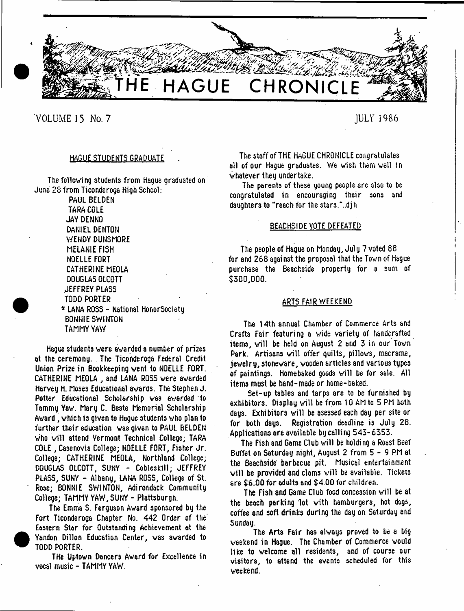

**VOLUME 15 No. 7 JULY 1986**

# HAGUE STUDENTS GRADUATE

The following students from Hague graduated on June 25 from Ticonderoga High School:

> PAUL BELDEN TARA COLE JAY DENNO DANIEL DENTON WENDY DUNSMORE MELANIE FISH NOELLE FORT CATHERINE MEOLA DOUGLAS OLCOTT JEFFREY PLASS TODD PORTER

\* LANA ROSS - National HonorSociety BONNIE SWINTON TAMMY YAW

Hague students were awarded a number of prizes at the ceremony. The Ticonderoga Federal Credit Union Pri2e in Bookkeeping vent to NOELLE FORT. CATHERINE MEOLA , and LANA ROSS were awarded Harvey H. Moses Educational awards. The Stephen J. Potter Educational Scholarship was awarded to Tammy Yaw. Mary C. Beste Memorial Scholarship Award , which is given to Hague students who plan to further their education was given to PAUL BELDEN who will attend Yermont Technical College; TARA COLE , Casenovia College; NOELLE FORT, Fisher Jr. College; CATHERINE MEOLA, Northland College; DOUGLAS OLCOTT, SUNY - Cobleskill; JEFFREY PLASS, SUNY - Albany, LANA ROSS, College of St. Rose; BONNIE SWINTON, Adirondack Community College; TAMMY YAW, SUNY - Plattsburgh.

The Emma S. Ferguson Award sponsored by the Fort Ticonderoga Chapter No. 442 Order of the' Eastern Star for Outstanding Achievement at the Yandon Dillon Education Center, was awarded to TODD PORTER.

THe Uptown Dancers Award for Excellence in vocal music - TAMMY YAW.

The staff of THE HAGUE CHRONICLE congratulates all of our Hague graduates. We wish them well in whatever they undertake.

The parents of these young people are also to be congratulated in encouraging their sons and daughters to "reach for the stsr3."..djh

### BEACHSIDE VOTE DEFEATED

The people of Hague on Monday, Jul y 7 voted 88 for and 268 against the proposal that the Town of Hague purchase the Beachside property for a sum of \$300,000.

# ARTS FAIR WEEKEND

The 14th annual Chamber of Commerce Arts and Crafts Fair featuring a vide variety of handcrafted items, will be held on August 2 and 3 in our Town Park. Artisans will offer quilts, pillows, macrame, jewelry, stoneware, wooden articles and various types of paintings. Homebaked goods will be for sale. All items must be hand-made or home-baked.

Set-up tables and tarps are to be furnished by exhibitors. Display will be from 10 AM to 5 PM both days. Exhibitors will be asessed each day per site or for both days. Registration deadline is July 28. Applications are available by calling 543-6353.

The Fish and Game Club will be holding a Roast Beef Buffet on Saturday night, August 2 from 5 - 9 PM at the Beachside' barbecue pit. Musical entertainment will be provided and clams v/ill be available. Tickets are \$6.00 for adults and \$4.00 for children.

The Fish and Game Club food concession will be at the beach parking lot with hamburgers, hot dogs, coffee and soft drinks during the day on Saturday and Sunday.

The Arts Fair has always proved to be a big weekend in Hague. The Chamber of Commerce would like to welcome all residents, and of course our visitors, to attend the events scheduled for this weekend.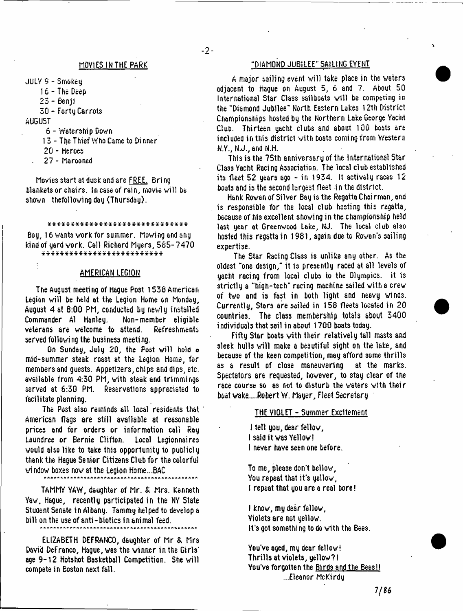$-2-$ 

JULY 9 - Smokey

16 - The Deep

23 - Benji

30 - Forty Carrots

AUGUST

6 - Waters hip Down

13 - The Thief Who Came to Dinner

20 - Heroes

27 - Marooned

Movies start at dusk and are FREE. Bring blankets or chairs. In case of rain, movie will be shown thefollowing day (Thursday).

\*\*\*\*\*\*\*\*\*\*\*\*\*\*\*\*\*\*\*\*\*\*\*\*\*\*\*\*\*

Boy, 16 wants work for summer. Moving and any kind of yard work. Call Richard Myers, 585-7470<br>\*\*\*\*\*\*\*\*\*\*\*\*\*\*\*\*\*\*\*\*\*\*\*\*\*\*\*\*\*

#### AMERICAN LEGION

Tne August meeting of Hague Post 1538 American Legion will be held at the Legion Home on Monday, August 4 at 8:00 PM, conducted by newly installed Commander A1 Hanley. Non-member eligible veterans are welcome to attend. Refreshments served following the business meeting.

On Sunday, July 20, the Post will hold a mid-summer steak roast at the Legion Home, for members and guests. Appetisers, chips and dips, etc. available from 4:30 PM, with steak and trimmings served at 6:30 PM. Reservations appreciated to facilitate planning.

The Post also reminds all local residents that American flags are still available at reasonable prices and for orders or information call Ray Laundree or Bernie Clifton. Local Legionnaires would also like to take this opportunity to publicly thank the Hague Senior Citizens Club for the colorful wi ndov boxes now at the Legion Home...BAC

TAMMY YAW, daughter of Mr. & Mrs. Kenneth Yaw, Hague, recently participated in the NY State Student Senate in Albany. Tammy helped to develop a bill on the use of anti-biotics in animal feed.

ELIZABETH DEFRANCO, daughter of Mr & Mrs David DeFranco, Hague, was the winner in the Girls\* age 9-12 Hotshot Basketball Competition. She will compete in Boston next fall.

# MOVIES IN THE PARK THE REAL THE PARK THE SAILING EVENT

A major sailing event will take place in the waters adjacent to Hague on August 5, 6 and 7. About 50 International Star Class sailboats will be competing in the "Diamond Jubilee" North Eastern Lakes 12th District Championships hosted by the Northern Lake George Yacht Club. Thirteen yacht clubs and about 100 boats are included in this district with boats coming from Western N.Y., N.J., and N.H.

This is the 75th anniversary of the international Star Class Yacht Racing Association. The iocal club established its fleet 52 years ago - in 1934. It actively races 12 boats and is the second largest fleet -in the district.

Hank Rowan of Silver Bay is the Regatta Chairman, and is responsible for the local club hosting this regatta, because of his excellent showing in the championship held last year at Greenwood Lake, NJ. The local club also hosted this regatta in 1981, again due to Rowan's sailing expertise.

The Star Racing Class is unlike any other. As the oldest "one design," it is presently raced at all levels of yacht racing from local clubs to the Olympics, it is 3trictly a "high-tech" racing machine sailed with a crew of two and is fast in both light and Heavy winds. Currently, Stars ere sailed in 158 fleets located in 20 countries. The class membership totals about 3400 individuals that sail in about 1700 boats today.

Fifty Star boats with their relatively tall masts and sleek hulls will make a beautiful sight on the lake, and because of the keen competition, may afford some thrills as a result of close maneuvering at the marks. Spectators are requested, however, to stay clear of the race course so as not to disturb the waters with their boat vake....Robert W. Mayer, Fleet Secretary

## THE VIOLET - Summer Excitement

I tell you, dear fellow, I said it was Yellow! I never have seen one before.

To me, please don't bellow, You repeat that it's yellow, I repeat that you are a real bore!

I know, my dear fellow, Violets are not yellow. It's got something to do with the Bees.

You've aged, my dear fellow! Thrills at violets, yellow?! You've forgotten the Birds and the Bees!! ...Eleanor McKirdy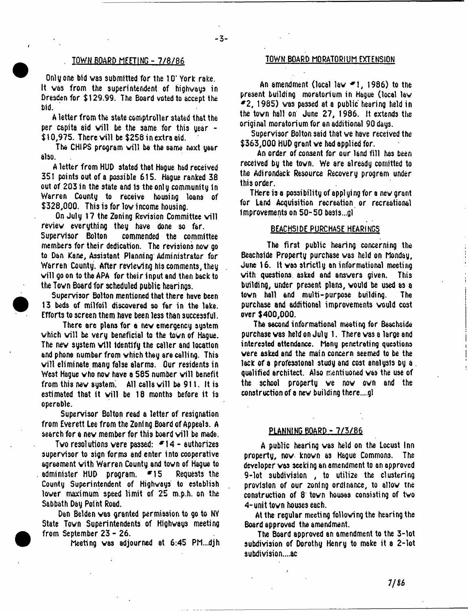$-3-$ 

Only one bid was submitted for the 10\* York rake. It was from the superintendent of highways in Dresden for \$129.99. The Board voted to accept the bid.

A letter from the state comptroller stated that the per capita aid will be the same for this year  $-$ \$10,975. There will be \$256 in extra aid.

The CHIPS program will be the same next year also.

A letter from HUD stated that Hague had received 351 points out of a possible 615. Hague ranked 38 out of 203 in the state and 1s the only community 1n Warren County to receive housing loans of \$328,000. This is for low income housing.

On July 17 the Zoning Revision Committee will review everything they have done so far. commended the committee members for their dedication. The revisions now go to Dan Kane, Assistant Planning Administrator for Warren County. After reviewing his comments, they will go on to the APA for their input and then back to the Town Board for scheduled public hearings.

Supervisor Bolton mentioned that there have been 13 beds of milfoil discovered so far in the lake. Efforts to screen them have been less than successful.

There are plans for a new emergency system which will be very beneficial to the town of Hague. The new system will identify the caller and location and phone number from which they are calling. This will eliminate many false alarms. Our residents in West Hague who now have a 565 number will benefit from this new system. All calls will be 911. It is estimated that it will be 18 months before it is operable.

Supervisor Bolton read a letter of resignation from Everett Lee from the Zoning Board of Appeals. A search for a new member for this board will be made.

Two resolutions were passed:  $*14 - \omega$  authorizes supervisor to sign forms and enter into cooperative agreement with Warren County and town of Hague to administer HUD program. \*15 Requests the County Superintendent of Highways to establish lower maximum speed limit of 25 m.p.h. on the Sabbath Day Point Road.

Dan Belden was granted permission to go to NY State Town Superintendents of Highways meeting from September 23 - 26.

Meeting was adjourned at 6:45 PM...djh

# TOWN BOARD MEETING-7 /8 /8 6 TOWN BOARD MORATORIUM EXTENSION

An amendment (local law \*1 , 1986) to the present building moratorium in Hague (local law  $*2$ , 1985) was passed at a public hearing held in the town hall on June 27, 1986. It extends the original moratorium for an additional 90 days.

Supervisor Bolton said that we have received the \$363,000 HUD grant we had applied for.

An order of consent for our land fill has been received by the town. We are already cornitted to the Adirondack Resource Recovery program under this order.

There is a possibility of applying for a new grant for Land Acquisition recreation or recreational Improvements on 50-50 bas1s...gl

#### BEACHSIDE PURCHASE HEARINGS

The first public hearing concerning the Beachside Property purchase was held on Monday, June 16. It was strictly an informational meeting with questions asked and answers given. This building, under present plans, would be used as a town hall and multi-purpose building. The purchase and additional improvements would cost over \$400,000.

The second informational meeting for Beachside purchase was held on July 1. There was a large and interested attendance. Many penetrating questions were asked and the main concern seemed to be the lack of a professional study and cost analysis by a qualified architect. Also mentiuoned was the use of the school property we now own and the construction of a new building there....gl

# PLANNING BOARD - 7/3/86

A public hearing was held on the Locust Inn property, now known as Hague Commons. The developer was seeking an amendment to an approved 9-lot subdivision , to utilize the clustering provision of our zoning ordinance, to allow tne construction of 8 tovn houses consisting of two 4 -unit town houses each.

At the regular meeting following the hearing the Board approved the amendment.

The Board approved an amendment to the 3-lot subdivision of Dorothy Henry to make it a 2-lot subdivision....ac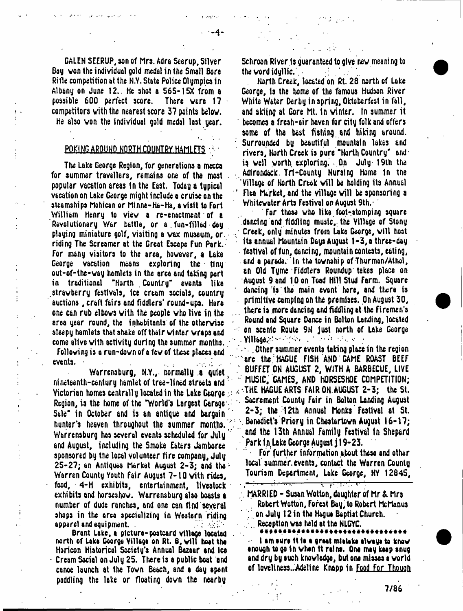GALEN 5EERUP, son of Mrs. Adra Seerup, Silver Bay, yon the individual gold medal in the Small Bore Rifle competition at the N.Y. State Police Olympics in Albany on June 12.. He shot a 565- 15X from a possible 600 perfect score. There vere 1? competitors with the nearest score 37 points belov. He also von the individual gold medal lost year.

## POKING AROUND NORTH COUNTRY HAMLETS

The Lake George Region, for generations a mccca for summer travellers, remains one of the most popular vacation areas in the East. Today a typical vacation on Lake George might include q cruise on the steamships Mohican or Minne-Ha-Ha, a visit to Fort William Henry to viev a re-enactment of a Revolutionary War battle, or a fun-filled day playing miniature golf, visiting a vax museum, or. riding The Screamer at the Great Escape Fun Park. For many visitors to the area, hovever, a Lake George vacation means exploring the tiny out-of-the-vay hamlets in the area and taking part in traditional "North Country' events like stravberry festivals, ice cream socials, country auctions, craft fairs and fiddlers' round-ups. Hare one can rub elbovs vith the people vho live in the area year round, the inhabitants of the otherwise sleepy hamlets that shake off their winter wraps and come alive vith activity during the summer months.. Following is a run-down of a few of these places and events.

Warrensburg, N.Y.,. normally .a quiet x nineteenth-century hamlet of tree-lined streets and ? Victorian homes centrally located in the Lake George. Region, is the home of the "World's Largest Garage' Sale" in October and is an antique and bargain' hunter's heaven throughout the summer months. Warrensburg has several events scheduled for July and August, including the Smoke Eaters Jamboree sponsored by the local volunteer fire company, July 25-27; an Antiques Market August 2-3; and the' Warren County Youth Fair August 7-10 vith rides, food, 4-H exhibits, entertainment, livestock exhibits and horseshov. Warrensburg also boasts a number of dude ranches, and one can find several shops in the area specializing in Western riding apparel and equipment. .

Brant Lake, a picture-postcard village located north of Laka George Village on Rt. 6, will heat the Horicon Historical Society's Annual Bazaar and tea Cream Social on July 25. There is a public boat and canoe launch at the Town Beach, and a day spent paddling the lake or floating down the nearby

Schroon River Is guaranteed to give new meaning to the word idullic.  $\blacksquare$ 

North Creek, located on Rt. 28 north of Lake George, is the home of the famous Hudson River White Water Derby in spring, Oktoberfest in fall, and skiing at Gore ht. in winter, in summer it becomes a fresh-air haven for city folk and offers some of tha best fishing and hiking around. Surrounded by beautiful mountain lakes and rivers. North Creek is pure "North Country" andiq veil yorth. exploring. On July 19th the Adirondack. Trt-County Nursing Home 1n tne Village of North Creek will be holding its Annual Flea Market, and the village will be sponsoring a Whitewater Arts Festival on August 9th.-

For those who like foot-stomping square dancing and fiddling music, the Village of Stony Creek, only minutes from Lake George, will host its annual Mountain Days August 1-3, a three-day festival of fun, dancing, mountain contests, eating, . end a parade. 'In the township of Thurman/Athol, an Old Tyme Fiddlers Roundup takes place on August 9 and 10 on Toad Hill Stud Ferm. Square dancing is the main event here, and there is primitive camping on the premises. On August 30, there is more dancing and fiddling at the Firemen's Round and Square Dance in Bolton Landing, located on scenic Route 9N just north of Lake George Village.^ - ■;\*>< . ■■■'»

 $\sim$  . Other summer events taking place in the region  $\,$ are the HAGUE FiSH AND GAME ROAST BEEF " BUFFET ON AUGUST 2, WITH A BARBECUE, LIVE ' MUSIC, GAMES, AND HORSESHOE COMPETITION; -THE HAGUE ARTS FAIR ON. AUGUST 2-3; the St. . Sacrement County Fair in Bolton Landing August 2-3; the 12th Annual honks Festival at St. Banedict's Priory in Chestartown August 16-17; and the 13th Annual Family Festival in Shepard Park in Lake George August j 19-23.

For further information about these and other local summer, events, contact the Warren County Tourism Department, Lake George, NV 12845,

MARRIED - Susan Wotton, daughter of Mr & Mrs . Robert Wotton, Forest Bay, to Robert McManus ; . on July 12 in the Hague Baptist Church.

 $\cdot$  , which is the set of  $\cdot$  , and  $\cdot$  , and  $\cdot$  , and  $\cdot$  , and  $\cdot$  , and  $\cdot$  , and  $\cdot$ 

Reception was held at the NLGYC.

I am sure it is a great mistake always to know •nough to go in vhan it ralna. One may ktap anug and dry by auch knowledge, but one misses a world of loveliness..Adeline Knapp in Food For Though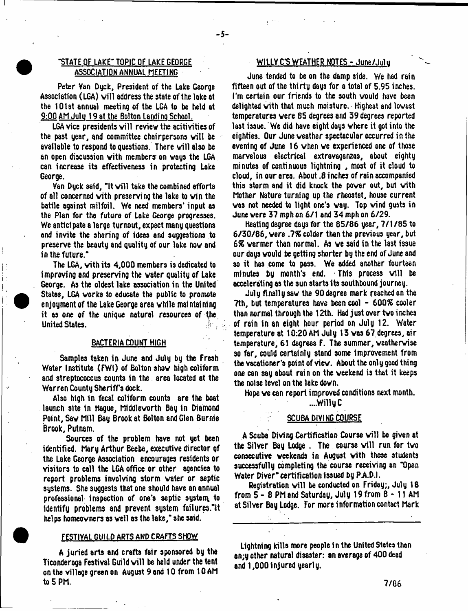# "STATE OF LAKE" TOPIC OF LAKE GEORGE ASSOCIATION ANNUAL MEETING

-5-

Peter Van Dyck, President of the Lake George Association (LGA) will address the state of the lake at the 101st annual meeting of the LGA to be held at 9:00 AM Julu 19 at the Bolton Landino School.

LGA vice presidents will review the acitivities of the past year, and committee chairpersons will be available to respond to questions. There will also be an open discussion with members on ways the LGA can increase its effectiveness in protecting Lake George.

Van Dyck said, "It will take the combined efforts of all concerned vith preserving the lake to vin the battle against milfoil. We need members' input as the Plan for the future of Lake George progresses. We anticipate a large turnout, expect many questions and invite the sharing of ideas and suggestions to preserve the beauty and quality of our lake nov and in the future."

The LGA, vith its 4,000 members is dedicated to improving and preserving the water quality of Lake George. As the oldest lake association in the United States, LGA works to educate the public to promote enjoyment of the Lake George area while maintaining it as one of the unique natural resources of the United States. '

## BACTERIA COUNT HIGH

Samples taken in June and July by the Fresh Water Institute (FWI) of Bolton show high coliform and streptococcus counts In the area located at the Warren County Sheriffs dock.

Also high in fecal coliform counts are the boat launch site in Hague, Middleworth Bay in Diamond Point, Saw Mill Bay Brook at Bolton and Glen Burnie Brook, Putnam,

Sources of the problem have not yet been identified. Mary Arthur Beebe, executive director of the Lake George Association encourages residents or visitors to call the LGA office or other agencies to report problems involving storm water or septic systems. She suggests that one should have an annual professional inspection of one's septic system to identify problems and prevent system failures."It hel ps homeowners as veil as the lake," she said.

#### FESTIVAL GUILD ARTS AND CRAFTS SHOW

A juried arts and crafts fair sponsored by the Ticonderoga Festival Guild will be held under the tent on the village green on August 9 and 10 from 10 AM to 5 PM.

# WILLY C'S WEATHER NOTES - June/Julu

June tended to be on the damp side. We had rain fifteen out of the thirty days for a total of 5.95 inches. I'm certain our friends to the south would have been delighted vith that much moisture. Highest and lowest temperatures were 85 degrees and 39 degrees reported last issue. We did have eight days where it got into the eighties. Our June weather spectacular occurred in the evening of June 16 when ve experienced one of those marvelous electrical extravaganzas, about eighty minutes of continuous lightning , most of it cloud to cloud, in our area. About .8 inches of rain accompanied this storm and it did knock the power out, but vith Mother Nature turning up the rheostat, house current was not needed to light one's way. Top vind gusts in June were 37 mph on 6/1 and 34 mph on 6/29.

Heating degree days for the 85/86 year, 7/1/85 to 6/30/86, vere *.1%* colder then the previous year, but 6% warmer than normal. As ve said in the last issue our days would be getting shorter by the end of June and so it has come to pass. We added another fourteen minutes by month's end. This process will be accelerating as the sun starts its southbound journey.

July finally saw the 90 degree mark reached on the ?th, but temperatures have been cool - 600X cooler than normal through the 12th. Had just over two inches of rain in an eight hour period on July 12. Water temperature at 10:20 AM July 13 vas 67 degrees, air temperature, 61 degrees F. The summer, veathervise so far, could certainly stand some Improvement from the vacationer's point of view. About the only good thing one can say about rain on the weekend is that it keeps the noise level on the lake down.

Hope ve can report improved conditions next month.

#### ....Willy C

### SCUBA DIVING COURSE

A Scuba Diving Certification Course will be given at the Silver Bay Lodge. The course will run for two consecutive weekends in August vith those students successfully completing the course receiving an "Open Water Diver" certification issued by PAD.I.

Registration will be conducted on Friday;, July 18 from 5 - 8 PM and Saturday, July 19 from 8-11 AM at Silver Bay Lodge. For more information contact Mark

Lightning kills more people in the United Stetesthan an;y other natural disaster: an average of 400 dead and 1,000 injured yearly.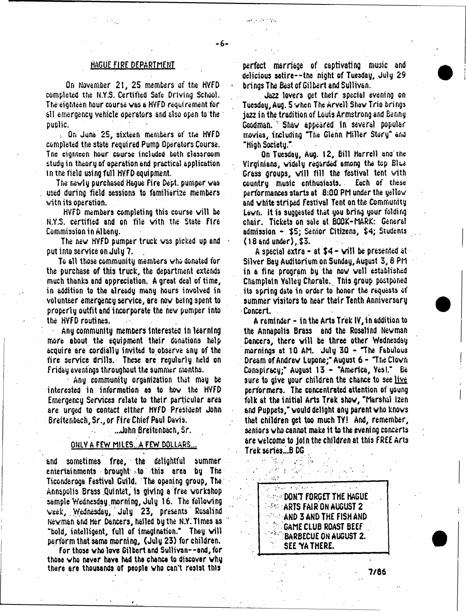### HAGUE FIRE DEPARTMENT

 $-6-$ 

On November 21, 25 members of the HYFD completed the N.Y.S, Certified Safe Driving School. The eighteen hour course was a HVFD requirement for all emergency vehicle operators and also open to the public.

, On June 25, sixteen members of the HVFD completed the state required Pump Operators Course. Tne eighteen hour course included both classroom study in theory of operation and practical application in tne field using full HVFD equipment.

The newly purchased Hague Fire Dept, pumper was used during field sessions to familiarize members witn its operation.

HVFD members completing this course will be N.Y .S. certified and on file with the State Fire Commission in Albany.

The new HVFD pumper truck was picked up and put into service on July 7.

To all those community members who donated for the purchase of this truck, the department extends much thanks and appreciation. A great deal of time, in addition to the already many hours involved in volunteer emergency service, are now being spent to properly outfit and incorporate the hew pumper into the HVFD routines.

Any community members Interested in learning more about the equipment their donations help acquire are cordially invited to observe any of the fire service drills. These are regularly held on Friday evenings throughout the summer months.

Any community organization that may be interested in information as to how the HVFD Emergency Services relate to their particular area are urged to contact either HYFD President John Breitenbach,Sr.,or Fire Chief Paul Davis.

.. John Breitenbach, Sr.

## QNLV A FEW M1LES...A FEW DOLLARS...

and sometimes free, the delightful summer entertainments brought *Ao* this area by The Ticonderoga Festival Guild. The opening group, The Annapolis Brass .Quintet, is giving a free workshop sample Wednesday.morning, July 16. The following week, Wednesday, July 23, presents Rosalind Newman and Her Dancers, hailed by the N.Y: Times as "bold, intelligent, full of imagination." They will perform that same morning, (July 23) for children.

For those vho love Gilbert and Sullivan--and,for those vho never have had the chence to discover why there are thousands of people vho can't resist this

perfect marriage of captivating music and delicious satire--tne night of Tuesday, July 29 ' brings The Best of Gilbert and Sullivan.

Jaz**2** lovers get their special evening on Tuesday, Aug. 5 when The Arvell Shaw Trio brings ja**22** in the tradition of Louis Armstrong and Benny Goodman. Shaw appeared in several popular movies, including "The Glenn Miller Story" and "High Society."

On Tuesday, Aug. 12, Bill Harrell ana the Virginians, widely regarded among the top Blue Grass groups, will fill the festival tent vith country music enthusiasts. Each of these performances starts at 8:00 PM under the yellow and white striped Festival Tent on the Community Lawn, it is suggested that you bring your folding chair. Tickets on sale at BOOK-MARK: General admission - \$5; Senior Citizens, \$4; Students (18 and under), \$3.

A special extra - at \$4 - will be presented at Silver Bay Auditorium on Sunday, August 3,8 PM in a fine program by the now well established Champlain Yalley Chorale. This group postponed its spring data in order to honor the requests of summer visitors to hear their Tenth Anniversary Concert.

A reminder - in the Arts Trek IV, in addition to the Annapolis Brass and the Rosalind Newman Dancers, there will be three other Wednesday mornings at 10 AM. July 30 - "The Fabulous Dream of Andrew Lupone;" August 6 - "The Clown Conspiracy;" August 13 - "America, Yes!." Be sure to give your children the chance to see live performers. The concentrated attention of young folk at the initial Arts Trek show, "Marshal l**2**en and Puppets," would delight any parent who knows that children get too much TY! And, remember, seniors who cannot make it to the evening concerts are welcome to join the children at this FREE Arts Trekseries.-B DG

> $\approx$   $\approx$  don't forget the hague  $\approx$   $\frac{1}{2}$  arts fair on august 2. AND 3 AND THE FISH AND GAME CLUB ROAST BEEF BARBECUE ON AUGUST 2. SEE YA THERE.

والمراد فراداتها

7/66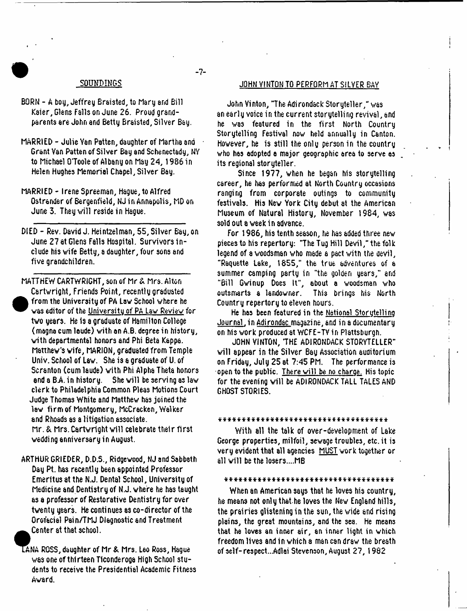### SOUNDINGS

- BORN A boy, Jeffrey Braisted, to Mary and Bill Kaier, Glens Falls on June 26. Proud grandparents are John and Betty Braisted, Silver Bay.
- MARRIED Julie Van Patten, daughter of Martha and Grant Van Patten of Silver Bay and Schenectady, NY to Michael O'Toole of Albany on May 24,1986 in Helen Hughes Memorial Chapel, Silver Bay.
- MARRIED Irene Spreeman, Hague, to Alfred Ostrander of Bergenfield, NJ in Annapolis, MD on June 3. They will reside in Hague.
- DIED Rev. David J. Heinteelman, 55, Silver Bay,on June 27 at Glens Falls Hospital. Survivors incl ude his wife Betty, a daughter, four sons and five grandchildren.
- MATTHEW CARTWRIGHT, son of Mr & Mrs. Alton Cartwright, Friends Point, recently graduated **e**  from the University of PA Law School where he was editor of the Universitu of PA Law Review for two years. He is a graduate of Hamilton College (magna cum loude) with an A.B. degree in history, with departmental honors and Phi Beta Kappa. Matthew's wife, MARION, graduated from Temple Univ. School of Law. She is a graduate of U. of Scranton (cumlaude) with Phi Alpha Theta honors and a BA in history. She will be serving as law clerk to Philadelphia Common Pleas Motions Court Judge Thomas White and Matthew has joined the lew firm of Montgomery, McCracken, Walker and Rhoads as a litigation associate. Mr. & Mrs. Cartwright will celebrate their first wedding anniversary in August.
	- ARTHUR GRIEDER, D.D.S., Ridgewood, NJ and Sabbath Day Pt. has recently been appointed Professor Emeritus at the N.J. Dental School, University of Medicine and Dentistry of N.J. where he has taught as a professor of Restorative Dentistry for over twenty years. He continues as co-director of the Orofacial Pain/TMJ Diagnostic and Treatment Center at that school.
	- LANA ROSS, daughter of Mr & Mrs. Leo Ross, Hague was one of thirteen Ticonderoga High School students to receive the Presidential Academic Fitness Award.

#### JOHN VINTON TO PERFORM AT SILVER BAY

John Vinton, "The Adirondack Storyteller," was an early voice in the current storytelling revival, and he was featured in the first North Country Storytelling Festival now held annually in Canton. However, he is still the only person in the country who has adopted a major geographic area to serve as its regional storyteller.

Since 1977, when he began his storytelling career, he has performed at North Country occasions ranging from corporate outings to community festivals. His New York City debut at the American Museum of Natural History, November 1984, was sold out a week in advance.

For 1986, his tenth season, he has added three new pieces to his repertory: "The Tug Hill Devil," the folk legend of a woodsman who made a pact with the aevil, "Raquette Lake, 1855," the true adventures of a summer camping party in "the golden years," and "Bill Gwinup Does It", about a woodsman who outsmarts a landowner. Country repertory to eleven hours.

He has been featured in the Nations! Storutellinq Journal, in Adirondac magazine, and in a documentary on his work produced at WCFE-TY in Plattsburgh.

JOHN VINTON, THE ADIRONDACK STORYTELLER" will appear in the Silver Bay Association auditorium on Friday, July 25 at 7:45 PM. The performance is open to the public. There will be no charge. His topic for the evening will be ADIRONDACK TALL TALES AND GHOST STORIES.

#### \* \* \* \* \* \* \* \* \* \* \* \* \* \* \* \* \* \* \* \* \* \* \* \* \* \* \* \* \* \* \* \* \* \* \* \*

With all the talk of over-development of Lake George properties, milfoil, sewage troubles, etc. it is very evident that all agencies MUST work together or all will be the losers....MB

#### \* \* \* \* \* \* \* \* \* \* \* \* \* \* \* \* \* \* \* \* \* \* \* \* \* \* \* \* \* \* \* \* \* \* \* \*

When an American says that he loves his country, he means not only that.he loves the New England hills, the prairies glistening in the sun, the vide and rising plains, the great mountains, and the sea. He means that he loves an inner air, an inner light in which freedom lives and in which a man can draw the breath of self-respect...Adlai Stevenson, August 27,1982